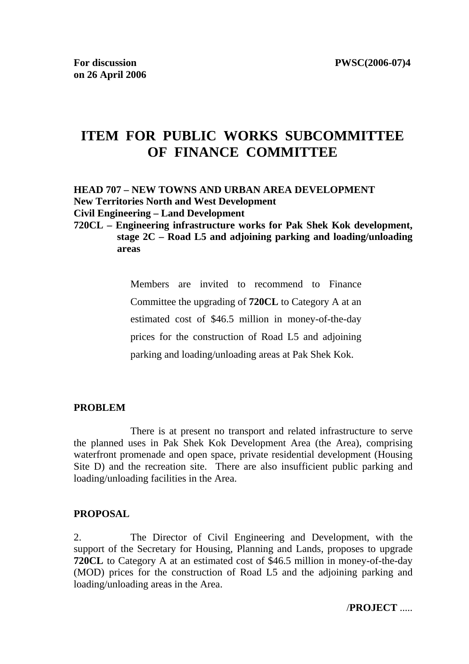# **ITEM FOR PUBLIC WORKS SUBCOMMITTEE OF FINANCE COMMITTEE**

**HEAD 707 – NEW TOWNS AND URBAN AREA DEVELOPMENT New Territories North and West Development Civil Engineering – Land Development** 

**720CL – Engineering infrastructure works for Pak Shek Kok development, stage 2C – Road L5 and adjoining parking and loading/unloading areas** 

> Members are invited to recommend to Finance Committee the upgrading of **720CL** to Category A at an estimated cost of \$46.5 million in money-of-the-day prices for the construction of Road L5 and adjoining parking and loading/unloading areas at Pak Shek Kok.

### **PROBLEM**

 There is at present no transport and related infrastructure to serve the planned uses in Pak Shek Kok Development Area (the Area), comprising waterfront promenade and open space, private residential development (Housing Site D) and the recreation site. There are also insufficient public parking and loading/unloading facilities in the Area.

# **PROPOSAL**

2. The Director of Civil Engineering and Development, with the support of the Secretary for Housing, Planning and Lands, proposes to upgrade **720CL** to Category A at an estimated cost of \$46.5 million in money-of-the-day (MOD) prices for the construction of Road L5 and the adjoining parking and loading/unloading areas in the Area.

/**PROJECT** .....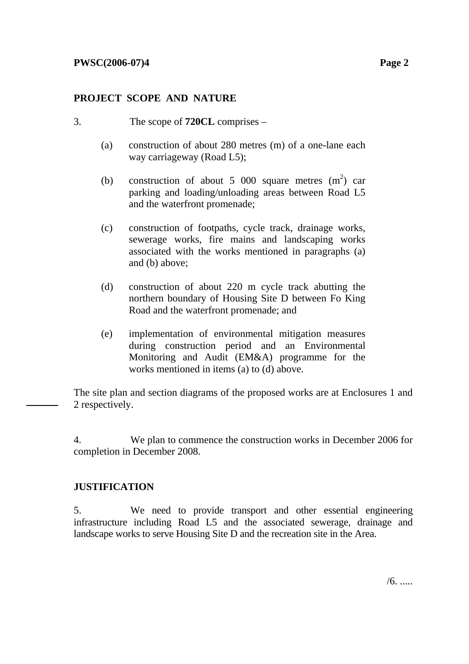# **PROJECT SCOPE AND NATURE**

- 3. The scope of **720CL** comprises
	- (a) construction of about 280 metres (m) of a one-lane each way carriageway (Road L5);
	- (b) construction of about 5 000 square metres  $(m^2)$  car parking and loading/unloading areas between Road L5 and the waterfront promenade;
	- (c) construction of footpaths, cycle track, drainage works, sewerage works, fire mains and landscaping works associated with the works mentioned in paragraphs (a) and (b) above;
	- (d) construction of about 220 m cycle track abutting the northern boundary of Housing Site D between Fo King Road and the waterfront promenade; and
	- (e) implementation of environmental mitigation measures during construction period and an Environmental Monitoring and Audit (EM&A) programme for the works mentioned in items (a) to (d) above.

The site plan and section diagrams of the proposed works are at Enclosures 1 and 2 respectively.

4. We plan to commence the construction works in December 2006 for completion in December 2008.

# **JUSTIFICATION**

5. We need to provide transport and other essential engineering infrastructure including Road L5 and the associated sewerage, drainage and landscape works to serve Housing Site D and the recreation site in the Area.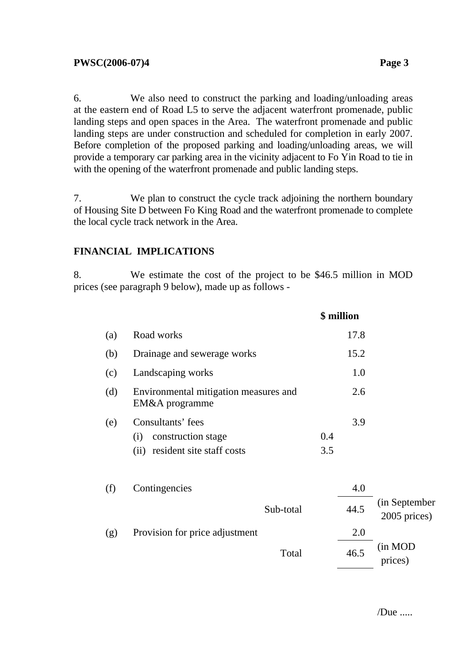6. We also need to construct the parking and loading/unloading areas at the eastern end of Road L5 to serve the adjacent waterfront promenade, public landing steps and open spaces in the Area. The waterfront promenade and public landing steps are under construction and scheduled for completion in early 2007. Before completion of the proposed parking and loading/unloading areas, we will provide a temporary car parking area in the vicinity adjacent to Fo Yin Road to tie in with the opening of the waterfront promenade and public landing steps.

7. We plan to construct the cycle track adjoining the northern boundary of Housing Site D between Fo King Road and the waterfront promenade to complete the local cycle track network in the Area.

# **FINANCIAL IMPLICATIONS**

8. We estimate the cost of the project to be \$46.5 million in MOD prices (see paragraph 9 below), made up as follows -

|     |                                                                                     |           |            | \$ million  |                                |
|-----|-------------------------------------------------------------------------------------|-----------|------------|-------------|--------------------------------|
| (a) | Road works                                                                          |           |            | 17.8        |                                |
| (b) | Drainage and sewerage works                                                         |           |            | 15.2        |                                |
| (c) | Landscaping works                                                                   |           |            | 1.0         |                                |
| (d) | Environmental mitigation measures and<br>EM&A programme                             |           |            | 2.6         |                                |
| (e) | Consultants' fees<br>construction stage<br>(i)<br>resident site staff costs<br>(ii) |           | 0.4<br>3.5 | 3.9         |                                |
| (f) | Contingencies                                                                       | Sub-total |            | 4.0<br>44.5 | (in September)<br>2005 prices) |
| (g) | Provision for price adjustment                                                      |           |            | 2.0         |                                |
|     |                                                                                     | Total     |            | 46.5        | (in MOD<br>prices)             |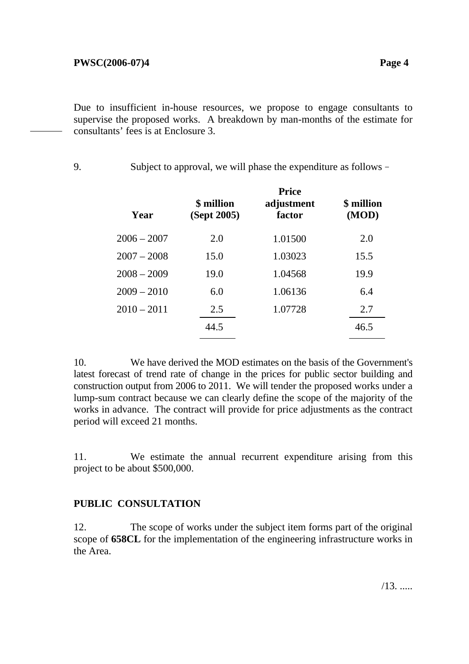Due to insufficient in-house resources, we propose to engage consultants to supervise the proposed works. A breakdown by man-months of the estimate for consultants' fees is at Enclosure 3.

9. Subject to approval, we will phase the expenditure as follows–

| Year          | \$ million<br>(Sept 2005) | <b>Price</b><br>adjustment<br>factor | \$ million<br>(MOD) |
|---------------|---------------------------|--------------------------------------|---------------------|
| $2006 - 2007$ | 2.0                       | 1.01500                              | 2.0                 |
| $2007 - 2008$ | 15.0                      | 1.03023                              | 15.5                |
| $2008 - 2009$ | 19.0                      | 1.04568                              | 19.9                |
| $2009 - 2010$ | 6.0                       | 1.06136                              | 6.4                 |
| $2010 - 2011$ | 2.5                       | 1.07728                              | 2.7                 |
|               | 44.5                      |                                      | 46.5                |

10. We have derived the MOD estimates on the basis of the Government's latest forecast of trend rate of change in the prices for public sector building and construction output from 2006 to 2011. We will tender the proposed works under a lump-sum contract because we can clearly define the scope of the majority of the works in advance. The contract will provide for price adjustments as the contract period will exceed 21 months.

11. We estimate the annual recurrent expenditure arising from this project to be about \$500,000.

# **PUBLIC CONSULTATION**

12. The scope of works under the subject item forms part of the original scope of **658CL** for the implementation of the engineering infrastructure works in the Area.

/13. .....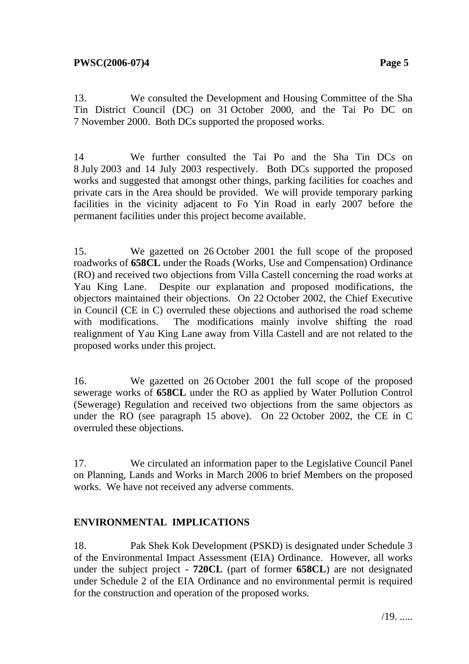13. We consulted the Development and Housing Committee of the Sha Tin District Council (DC) on 31 October 2000, and the Tai Po DC on 7 November 2000. Both DCs supported the proposed works.

14 We further consulted the Tai Po and the Sha Tin DCs on 8 July 2003 and 14 July 2003 respectively. Both DCs supported the proposed works and suggested that amongst other things, parking facilities for coaches and private cars in the Area should be provided. We will provide temporary parking facilities in the vicinity adjacent to Fo Yin Road in early 2007 before the permanent facilities under this project become available.

15. We gazetted on 26 October 2001 the full scope of the proposed roadworks of **658CL** under the Roads (Works, Use and Compensation) Ordinance (RO) and received two objections from Villa Castell concerning the road works at Yau King Lane. Despite our explanation and proposed modifications, the objectors maintained their objections. On 22 October 2002, the Chief Executive in Council (CE in C) overruled these objections and authorised the road scheme with modifications. The modifications mainly involve shifting the road realignment of Yau King Lane away from Villa Castell and are not related to the proposed works under this project.

16. We gazetted on 26 October 2001 the full scope of the proposed sewerage works of **658CL** under the RO as applied by Water Pollution Control (Sewerage) Regulation and received two objections from the same objectors as under the RO (see paragraph 15 above). On 22 October 2002, the CE in C overruled these objections.

17. We circulated an information paper to the Legislative Council Panel on Planning, Lands and Works in March 2006 to brief Members on the proposed works. We have not received any adverse comments.

# **ENVIRONMENTAL IMPLICATIONS**

18. Pak Shek Kok Development (PSKD) is designated under Schedule 3 of the Environmental Impact Assessment (EIA) Ordinance. However, all works under the subject project - **720CL** (part of former **658CL**) are not designated under Schedule 2 of the EIA Ordinance and no environmental permit is required for the construction and operation of the proposed works.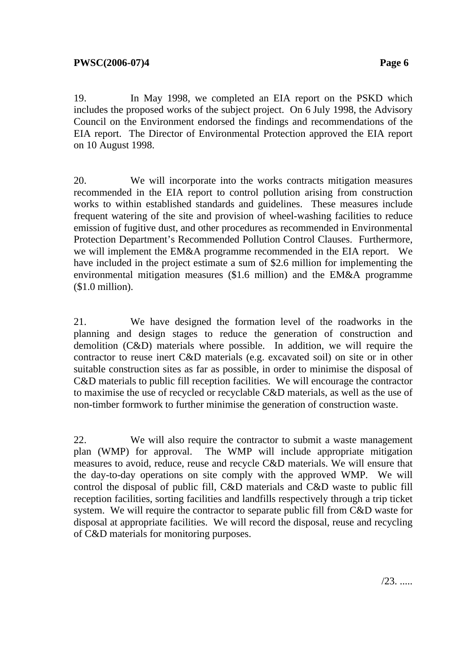19. In May 1998, we completed an EIA report on the PSKD which includes the proposed works of the subject project. On 6 July 1998, the Advisory Council on the Environment endorsed the findings and recommendations of the EIA report. The Director of Environmental Protection approved the EIA report on 10 August 1998.

20. We will incorporate into the works contracts mitigation measures recommended in the EIA report to control pollution arising from construction works to within established standards and guidelines. These measures include frequent watering of the site and provision of wheel-washing facilities to reduce emission of fugitive dust, and other procedures as recommended in Environmental Protection Department's Recommended Pollution Control Clauses. Furthermore, we will implement the EM&A programme recommended in the EIA report. We have included in the project estimate a sum of \$2.6 million for implementing the environmental mitigation measures (\$1.6 million) and the EM&A programme (\$1.0 million).

21. We have designed the formation level of the roadworks in the planning and design stages to reduce the generation of construction and demolition (C&D) materials where possible. In addition, we will require the contractor to reuse inert C&D materials (e.g. excavated soil) on site or in other suitable construction sites as far as possible, in order to minimise the disposal of C&D materials to public fill reception facilities. We will encourage the contractor to maximise the use of recycled or recyclable C&D materials, as well as the use of non-timber formwork to further minimise the generation of construction waste.

22. We will also require the contractor to submit a waste management plan (WMP) for approval. The WMP will include appropriate mitigation measures to avoid, reduce, reuse and recycle C&D materials. We will ensure that the day-to-day operations on site comply with the approved WMP. We will control the disposal of public fill, C&D materials and C&D waste to public fill reception facilities, sorting facilities and landfills respectively through a trip ticket system. We will require the contractor to separate public fill from C&D waste for disposal at appropriate facilities. We will record the disposal, reuse and recycling of C&D materials for monitoring purposes.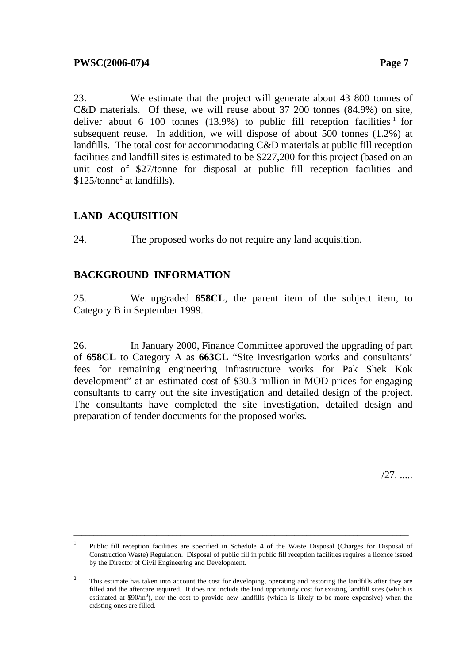23. We estimate that the project will generate about 43 800 tonnes of C&D materials. Of these, we will reuse about 37 200 tonnes (84.9%) on site, deliver about 6 100 tonnes (13.9%) to public fill reception facilities  $1$  for subsequent reuse. In addition, we will dispose of about 500 tonnes (1.2%) at landfills. The total cost for accommodating C&D materials at public fill reception facilities and landfill sites is estimated to be \$227,200 for this project (based on an unit cost of \$27/tonne for disposal at public fill reception facilities and \$125/tonne<sup>2</sup> at landfills).

# **LAND ACQUISITION**

24. The proposed works do not require any land acquisition.

# **BACKGROUND INFORMATION**

25. We upgraded **658CL**, the parent item of the subject item, to Category B in September 1999.

26. In January 2000, Finance Committee approved the upgrading of part of **658CL** to Category A as **663CL** "Site investigation works and consultants' fees for remaining engineering infrastructure works for Pak Shek Kok development" at an estimated cost of \$30.3 million in MOD prices for engaging consultants to carry out the site investigation and detailed design of the project. The consultants have completed the site investigation, detailed design and preparation of tender documents for the proposed works.

/27. .....

\_\_\_\_\_\_\_\_\_\_\_\_\_\_\_\_\_\_\_\_\_\_\_\_\_\_\_\_\_\_\_\_\_\_\_\_\_\_\_\_\_\_\_\_\_\_\_\_\_\_\_\_\_\_\_\_\_\_\_\_\_\_\_\_\_\_\_\_\_\_\_\_\_\_\_\_\_\_\_\_\_\_\_\_\_

<sup>1</sup> Public fill reception facilities are specified in Schedule 4 of the Waste Disposal (Charges for Disposal of Construction Waste) Regulation. Disposal of public fill in public fill reception facilities requires a licence issued by the Director of Civil Engineering and Development.

<sup>2</sup> This estimate has taken into account the cost for developing, operating and restoring the landfills after they are filled and the aftercare required. It does not include the land opportunity cost for existing landfill sites (which is estimated at  $$90/m<sup>3</sup>$ ), nor the cost to provide new landfills (which is likely to be more expensive) when the existing ones are filled.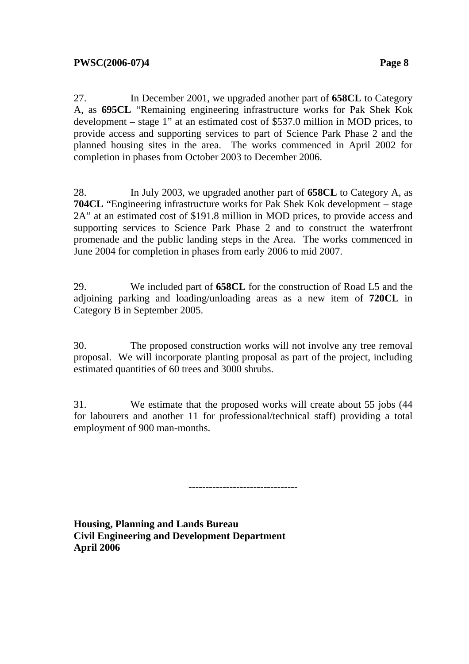27. In December 2001, we upgraded another part of **658CL** to Category A, as **695CL** "Remaining engineering infrastructure works for Pak Shek Kok development – stage 1" at an estimated cost of \$537.0 million in MOD prices, to provide access and supporting services to part of Science Park Phase 2 and the planned housing sites in the area. The works commenced in April 2002 for completion in phases from October 2003 to December 2006.

28. In July 2003, we upgraded another part of **658CL** to Category A, as **704CL** "Engineering infrastructure works for Pak Shek Kok development – stage 2A" at an estimated cost of \$191.8 million in MOD prices, to provide access and supporting services to Science Park Phase 2 and to construct the waterfront promenade and the public landing steps in the Area. The works commenced in June 2004 for completion in phases from early 2006 to mid 2007.

29. We included part of **658CL** for the construction of Road L5 and the adjoining parking and loading/unloading areas as a new item of **720CL** in Category B in September 2005.

30. The proposed construction works will not involve any tree removal proposal. We will incorporate planting proposal as part of the project, including estimated quantities of 60 trees and 3000 shrubs.

31. We estimate that the proposed works will create about 55 jobs (44 for labourers and another 11 for professional/technical staff) providing a total employment of 900 man-months.

--------------------------------

**Housing, Planning and Lands Bureau Civil Engineering and Development Department April 2006**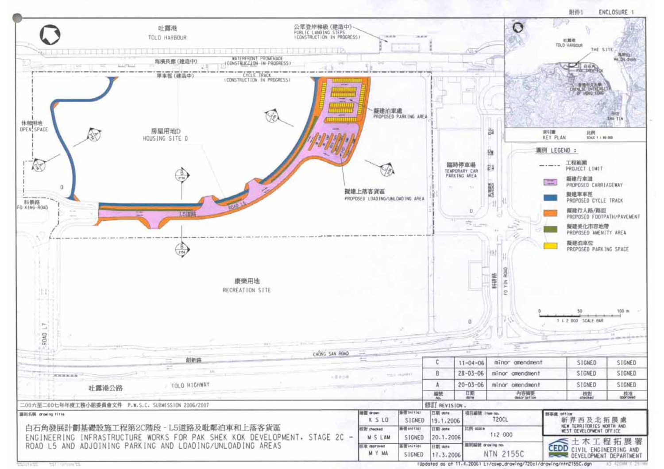

**255 NOUNCE STATE** 

(Updated as at 11.4.2006) Lt/cswp\_drawing/720c1/drawing/ntn2155C.dgn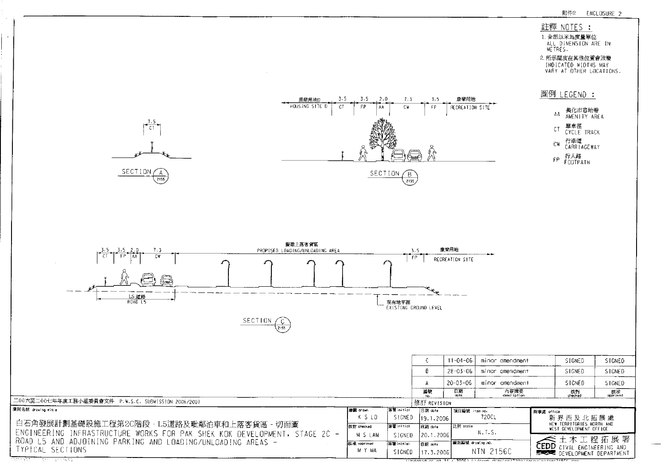#### 註釋 NOTES :

2. 所示闊度在其他位置會改變 INDICATED WIDTHS MAY<br>VARY AT OTHER LOCATIONS.





 $\sim$   $\sim$ 

|             |                  |           |                   | minor amendment                                                                                            | SIGNED                               | SIGNED                                                                                                                |  |
|-------------|------------------|-----------|-------------------|------------------------------------------------------------------------------------------------------------|--------------------------------------|-----------------------------------------------------------------------------------------------------------------------|--|
|             |                  | B         |                   | minor amendment                                                                                            | SIGNED                               | SIGNED                                                                                                                |  |
|             |                  | А         |                   | minor amendment                                                                                            | SIGNED                               | SIGNED                                                                                                                |  |
|             |                  | 編號<br>no. | 日期<br>date        | 內容摘要<br>description                                                                                        | 核對<br>checked                        | - 核准<br>approved                                                                                                      |  |
|             |                  |           |                   |                                                                                                            |                                      |                                                                                                                       |  |
| l繪圖 drom    | 答案 in itial      | 旧期 date   |                   |                                                                                                            |                                      |                                                                                                                       |  |
| KSLO        |                  |           |                   | 720CL                                                                                                      | 新界西及北拓展處                             |                                                                                                                       |  |
| 核對 checked  | 音号 in itial      | 日期 dota   | 比例 scole          |                                                                                                            |                                      | NEW TERRITORIES NORTH AND                                                                                             |  |
| M S LAM     |                  |           |                   |                                                                                                            |                                      |                                                                                                                       |  |
| 拆准 approved | <b>接著initial</b> | 日期 date   | 【遥則編號 draving no. |                                                                                                            |                                      |                                                                                                                       |  |
| M Y MA      |                  |           |                   |                                                                                                            |                                      |                                                                                                                       |  |
|             |                  | SIGNED    | SIGNED<br>SIGNED  | $1 - 04 - 06$<br>$28 - 03 - 06$<br>$20 - 03 - 06$<br>修訂 REVISION<br>119.1.2006<br>120.1.2006<br>117.3.2006 | 項目編號 item no.<br>N.T.S.<br>NTN 2156C | 新事席 office<br>WEST DEVELOPMENT OFFICE<br>土 木 工 程 拓 展 署<br><b>CEDD</b> CIVIL ENGINEERING AND<br>DEVELOPMENT DEPARTMENT |  |

जिलेका एक अन्वय

 $\sim$ 

 $\frac{1}{\text{Nladated}}$  as at 11  $\pi$  2006) is local departmental linear patients of the day